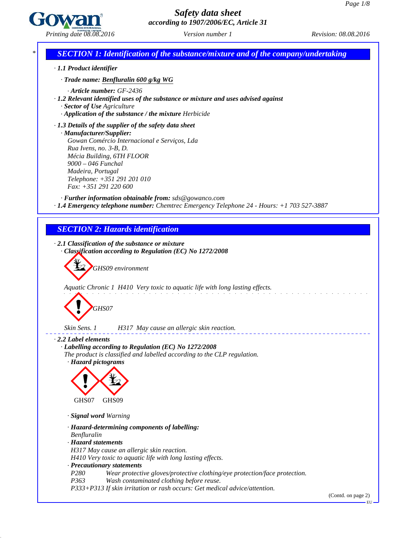

43.0

# *Safety data sheet according to 1907/2006/EC, Article 31*



(Contd. on page 2)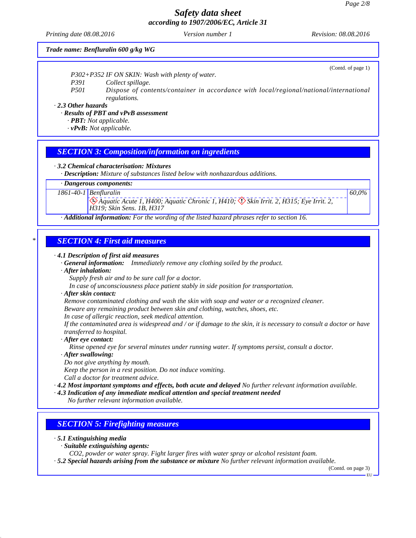*Printing date 08.08.2016 Version number 1 Revision: 08.08.2016*

(Contd. of page 1)

*60,0%*

*Trade name: Benfluralin 600 g/kg WG*

*P302+P352 IF ON SKIN: Wash with plenty of water.*

*P391 Collect spillage.*

*P501 Dispose ofcontents/container in accordance with local/regional/national/international regulations.*

#### *· 2.3 Other hazards*

#### *· Results of PBT and vPvB assessment*

*· PBT: Not applicable.*

*· vPvB: Not applicable.*

### *SECTION 3: Composition/information on ingredients*

*· 3.2 Chemical characterisation: Mixtures*

*· Description: Mixture of substances listed below with nonhazardous additions.*

*· Dangerous components:*

*1861-40-1 Benfluralin*

Aquatic Acute 1, H400; Aquatic Chronic 1, H410;  $\circled{S}$  Skin Irrit. 2, H315; Eye Irrit. 2, H319; Skin Sens. 1B, H317

*· Additional information: For the wording of the listed hazard phrases refer to section 16.*

### *\* SECTION 4: First aid measures*

*· 4.1 Description of first aid measures*

*· General information: Immediately remove any clothing soiled by the product.*

#### *· After inhalation:*

*Supply fresh air and to be sure call for a doctor.*

*In case of unconsciousness place patient stably in side position for transportation.*

#### *· After skin contact:*

*Remove contaminated clothing and wash the skin with soap and water or a recognized cleaner.*

*Beware any remaining product between skin and clothing, watches, shoes, etc.*

*In case of allergic reaction, seek medical attention.*

If the contaminated area is widespread and / or if damage to the skin, it is necessary to consult a doctor or have *transferred to hospital.*

*· After eye contact:*

*Rinse opened eye for several minutes under running water. If symptoms persist, consult a doctor.*

*· After swallowing:*

*Do not give anything by mouth.*

*Keep the person in a rest position. Do notinduce vomiting.*

*Call a doctor for treatment advice.*

*· 4.2 Most important symptoms and effects, both acute and delayed No further relevant information available.*

*· 4.3 Indication of any immediate medical attention and special treatment needed*

*No further relevant information available.*

# *SECTION 5: Firefighting measures*

*· 5.1 Extinguishing media*

43.0

*· Suitable extinguishing agents:*

*CO2, powder or water spray. Fight larger fires with water spray or alcohol resistant foam.*

*· 5.2 Special hazards arising from the substance or mixture No further relevant information available.*

(Contd. on page 3)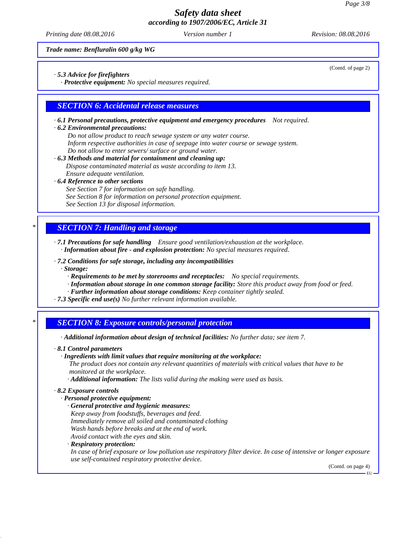*Printing date 08.08.2016 Version number 1 Revision: 08.08.2016*

(Contd. of page 2)

*Trade name: Benfluralin 600 g/kg WG*

*· 5.3 Advice for firefighters*

*· Protective equipment: No special measures required.*

### *SECTION 6: Accidental release measures*

*· 6.1 Personal precautions, protective equipment and emergency procedures Not required.*

#### *· 6.2 Environmental precautions:*

*Do notallow product to reach sewage system or any water course.*

*Inform respective authorities in case of seepage into water course or sewage system.*

*Do notallow to enter sewers/ surface or ground water.*

- *· 6.3 Methods and material for containment and cleaning up: Dispose contaminated material as waste according to item 13. Ensure adequate ventilation.*
- *· 6.4 Reference to other sections*
	- *See Section 7 for information on safe handling.*
	- *See Section 8 for information on personal protection equipment.*

*See Section 13 for disposal information.*

## *\* SECTION 7: Handling and storage*

*· 7.1 Precautions for safe handling Ensure good ventilation/exhaustion at the workplace. · Information about fire - and explosion protection: No special measures required.*

- *· 7.2 Conditions for safe storage, including any incompatibilities*
	- *· Storage:*
		- *· Requirements to be met by storerooms and receptacles: No special requirements.*
		- *· Information about storage in one common storage facility: Store this product away from food or feed.*
	- *· Further information about storage conditions: Keep container tightly sealed.*
- *· 7.3 Specific end use(s) No further relevant information available.*

# *\* SECTION 8: Exposure controls/personal protection*

*· Additional information about design of technical facilities: No further data; see item 7.*

- *· 8.1 Control parameters*
	- *· Ingredients with limit values that require monitoring at the workplace:*

*The product does not contain any relevant quantities of materials with critical values that have to be monitored at the workplace.*

*· Additional information: The lists valid during the making were used as basis.*

#### *· 8.2 Exposure controls*

43.0

*· Personal protective equipment:*

- *· General protective and hygienic measures:*
- *Keep away from foodstuf s, beverages and feed. Immediately remove all soiled and contaminated clothing Wash hands before breaks and at the end of work.*
- *Avoid contact with the eyes and skin.*
- *· Respiratory protection:*

In case of brief exposure or low pollution use respiratory filter device. In case of intensive or longer exposure *use self-contained respiratory protective device.*

(Contd. on page 4)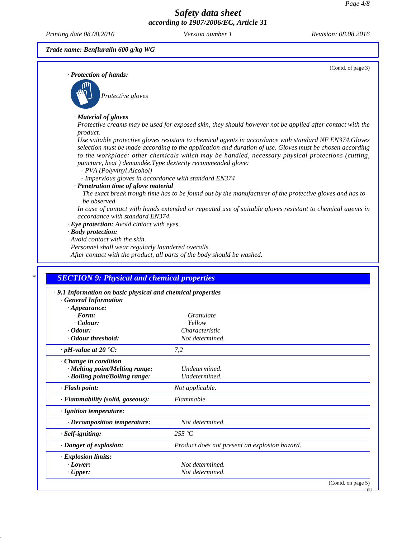*Printing date 08.08.2016 Version number 1 Revision: 08.08.2016*

(Contd. of page 3)

*Trade name: Benfluralin 600 g/kg WG*

*· Protection of hands:*



*Protective gloves*

#### *· Material of gloves*

Protective creams may be used for exposed skin, they should however not be applied after contact with the *product.*

*Use suitable protective gloves resistant to chemical agents in accordance with standard NF EN374.Gloves selection must be made according to the application and duration of use. Gloves must be chosen according to the workplace: other chemicals which may be handled, necessary physical protections (cutting, puncture, heat ) demandée.Type dexterity recommended glove:*

*- PVA (Polyvinyl Alcohol)*

*- Impervious gloves in accordance with standard EN374*

#### *· Penetration time of glove material*

The exact break trough time has to be found out by the manufacturer of the protective gloves and has to *be observed.*

In case of contact with hands extended or repeated use of suitable gloves resistant to chemical agents in *accordance with standard EN374.*

*· Eye protection: Avoid cintact with eyes.*

#### *· Body protection:*

43.0

*Avoid contact with the skin.*

*Personnel shall wear regularly laundered overalls.*

*After contact with the product, all parts of the body should be washed.*

| .9.1 Information on basic physical and chemical properties<br><b>General Information</b> |                                               |  |
|------------------------------------------------------------------------------------------|-----------------------------------------------|--|
| $\cdot$ Appearance:                                                                      |                                               |  |
| $\cdot$ Form:                                                                            | Granulate                                     |  |
| Colour:                                                                                  | Yellow                                        |  |
| $\cdot$ Odour:                                                                           | Characteristic                                |  |
| • Odour threshold:                                                                       | Not determined.                               |  |
| $\cdot$ pH-value at 20 $\textdegree$ C:                                                  | 7,2                                           |  |
| Change in condition                                                                      |                                               |  |
| · Melting point/Melting range:                                                           | Undetermined.                                 |  |
| · Boiling point/Boiling range:                                                           | Undetermined.                                 |  |
| · Flash point:                                                                           | Not applicable.                               |  |
| · Flammability (solid, gaseous):                                                         | Flammable.                                    |  |
| · Ignition temperature:                                                                  |                                               |  |
| $\cdot$ Decomposition temperature:                                                       | Not determined.                               |  |
| · Self-igniting:                                                                         | $255\text{ °C}$                               |  |
| · Danger of explosion:                                                                   | Product does not present an explosion hazard. |  |
| · Explosion limits:                                                                      |                                               |  |
| $\cdot$ Lower:                                                                           | Not determined.                               |  |
| $\cdot$ Upper:                                                                           | Not determined.                               |  |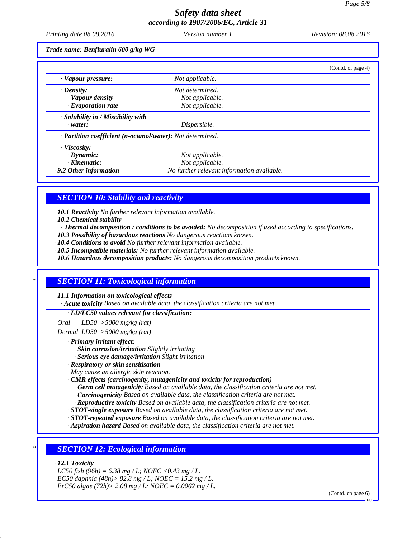*Printing date 08.08.2016 Version number 1 Revision: 08.08.2016*

*Trade name: Benfluralin 600 g/kg WG*

|                                                                         |                                            | (Contd. of page 4) |
|-------------------------------------------------------------------------|--------------------------------------------|--------------------|
| · Vapour pressure:                                                      | Not applicable.                            |                    |
| $\cdot$ Density:                                                        | Not determined.                            |                    |
| · Vapour density                                                        | Not applicable.                            |                    |
| $\cdot$ Evaporation rate                                                | Not applicable.                            |                    |
| $\cdot$ Solubility in / Miscibility with                                |                                            |                    |
| $\cdot$ water:                                                          | Dispersible.                               |                    |
| $\cdot$ <b>Partition coefficient (n-octanol/water):</b> Not determined. |                                            |                    |
| · Viscosity:                                                            |                                            |                    |
| $\cdot$ Dynamic:                                                        | Not applicable.                            |                    |
| $\cdot$ Kinematic:                                                      | Not applicable.                            |                    |
| $\cdot$ 9.2 Other information                                           | No further relevant information available. |                    |

## *SECTION 10: Stability and reactivity*

*· 10.1 Reactivity No further relevant information available.*

- *· 10.2 Chemical stability*
	- *· Thermal decomposition / conditions to be avoided: No decomposition if used according to specifications.*
- *· 10.3 Possibility of hazardous reactions No dangerous reactions known.*
- *· 10.4 Conditions to avoid No further relevant information available.*
- *· 10.5 Incompatible materials: No further relevant information available.*
- *· 10.6 Hazardous decomposition products: No dangerous decomposition products known.*

### *\* SECTION 11: Toxicological information*

*· 11.1 Information on toxicological effects*

*· Acute toxicity Based on available data, the classification criteria are not met.*

#### *· LD/LC50 values relevant for classification:*

*Oral LD50 >5000 mg/kg (rat)*

*Dermal LD50 >5000 mg/kg (rat)*

- *· Primary irritant effect:*
	- *· Skin corrosion/irritation Slightly irritating*
	- *· Serious eye damage/irritation Slight irritation*
- *· Respiratory or skin sensitisation*

*May cause an allergic skin reaction.*

- *· CMR effects (carcinogenity, mutagenicity and toxicity for reproduction)*
	- *· Germ cell mutagenicity Based on available data, the classification criteria are not met.*
	- *· Carcinogenicity Based on available data, the classification criteria are not met.*
	- *· Reproductive toxicity Based on available data, the classification criteria are not met.*
- *· STOT-single exposure Based on available data, the classification criteria are not met.*
- *· STOT-repeated exposure Based on available data, the classification criteria are not met.*
- *· Aspiration hazard Based on available data, the classification criteria are not met.*

# *\* SECTION 12: Ecological information*

*· 12.1 Toxicity*

43.0

*LC50 fish (96h) = 6.38 mg / L; NOEC <0.43 mg / L. EC50 daphnia (48h)> 82.8 mg / L; NOEC = 15.2 mg / L. ErC50 algae (72h)> 2.08 mg / L; NOEC = 0.0062 mg / L.*

(Contd. on page 6)

EU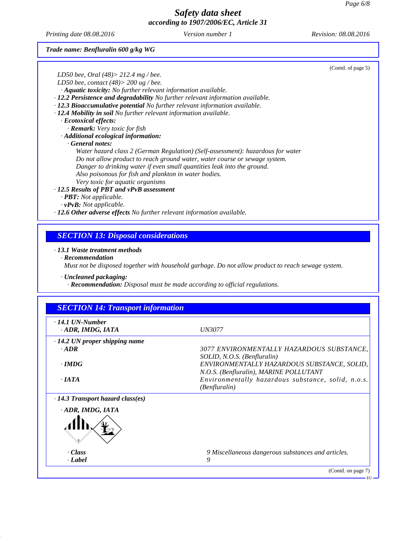*Printing date 08.08.2016 Version number 1 Revision: 08.08.2016*

*Trade name: Benfluralin 600 g/kg WG*

|                                                                                 | (Contd. of page 5) |
|---------------------------------------------------------------------------------|--------------------|
| LD50 bee, Oral $(48)$ > 212.4 mg / bee.                                         |                    |
| LD50 bee, contact $(48)$ > 200 ug / bee.                                        |                    |
| · <b>Aquatic toxicity:</b> No further relevant information available.           |                    |
| · 12.2 Persistence and degradability No further relevant information available. |                    |
| · 12.3 Bioaccumulative potential No further relevant information available.     |                    |
| · 12.4 Mobility in soil No further relevant information available.              |                    |
| $\cdot$ Ecotoxical effects:                                                     |                    |
| · Remark: Very toxic for fish                                                   |                    |
| · Additional ecological information:                                            |                    |
| General notes:                                                                  |                    |
| Water hazard class 2 (German Regulation) (Self-assessment): hazardous for water |                    |
| Do not allow product to reach ground water, water course or sewage system.      |                    |
| Danger to drinking water if even small quantities leak into the ground.         |                    |
| Also poisonous for fish and plankton in water bodies.                           |                    |
| Very toxic for aquatic organisms                                                |                    |
| · 12.5 Results of PBT and vPvB assessment                                       |                    |
| $\cdot$ <b>PBT:</b> Not applicable.                                             |                    |
| $\cdot$ vPvB: Not applicable.                                                   |                    |
| $\cdot$ 12.6 Other adverse effects No further relevant information available.   |                    |
|                                                                                 |                    |

# *SECTION 13: Disposal considerations*

### *· 13.1 Waste treatment methods*

*· Recommendation*

43.0

*Must not be disposed together with household garbage. Do notallow product to reach sewage system.*

*· Uncleaned packaging:*

*· Recommendation: Disposal must be made according to of icial regulations.*

| $\cdot$ 14.1 UN-Number<br>· ADR, IMDG, IATA | <i>UN3077</i>                                                                         |
|---------------------------------------------|---------------------------------------------------------------------------------------|
| $\cdot$ 14.2 UN proper shipping name        |                                                                                       |
| $-ADR$                                      | 3077 ENVIRONMENTALLY HAZARDOUS SUBSTANCE.<br>SOLID, N.O.S. (Benfluralin)              |
| $\cdot$ IMDG                                | ENVIRONMENTALLY HAZARDOUS SUBSTANCE, SOLID,<br>N.O.S. (Benfluralin), MARINE POLLUTANT |
| $\cdot$ IATA                                | Environmentally hazardous substance, solid, n.o.s.<br>(Benfluralin)                   |
| $\cdot$ 14.3 Transport hazard class(es)     |                                                                                       |
| · ADR, IMDG, IATA                           |                                                                                       |
| $\cdot$ Class                               | 9 Miscellaneous dangerous substances and articles.                                    |
| · Label                                     | 9                                                                                     |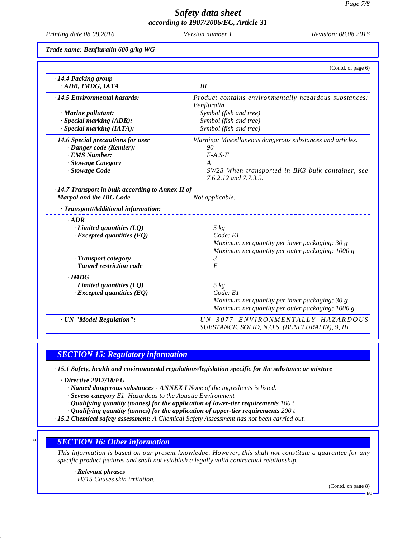*Printing date 08.08.2016 Version number 1 Revision: 08.08.2016*

*Trade name: Benfluralin 600 g/kg WG*

|                                                                                           | (Contd. of page 6)                                                        |
|-------------------------------------------------------------------------------------------|---------------------------------------------------------------------------|
| · 14.4 Packing group<br>· ADR, IMDG, IATA                                                 | III                                                                       |
| · 14.5 Environmental hazards:                                                             | Product contains environmentally hazardous substances:<br>Benfluralin     |
| · Marine pollutant:                                                                       | Symbol (fish and tree)                                                    |
| · Special marking (ADR):                                                                  | Symbol (fish and tree)                                                    |
| · Special marking (IATA):                                                                 | Symbol (fish and tree)                                                    |
| · 14.6 Special precautions for user                                                       | Warning: Miscellaneous dangerous substances and articles.                 |
| · Danger code (Kemler):                                                                   | 90                                                                        |
| · EMS Number:                                                                             | $F-A, S-F$                                                                |
| · Stowage Category                                                                        | $\bm{A}$                                                                  |
| · Stowage Code                                                                            | SW23 When transported in BK3 bulk container, see<br>7.6.2.12 and 7.7.3.9. |
| $\cdot$ 14.7 Transport in bulk according to Annex II of<br><b>Marpol and the IBC Code</b> | Not applicable.                                                           |
|                                                                                           |                                                                           |
| · Transport/Additional information:                                                       |                                                                           |
| $-ADR$                                                                                    |                                                                           |
| $\cdot$ Limited quantities (LQ)                                                           | $5 \ kg$                                                                  |
| $\cdot$ Excepted quantities (EQ)                                                          | Code: El                                                                  |
|                                                                                           | Maximum net quantity per inner packaging: 30 g                            |
|                                                                                           | Maximum net quantity per outer packaging: 1000 g                          |
| · Transport category                                                                      | $\mathfrak{Z}$                                                            |
| · Tunnel restriction code                                                                 | E                                                                         |
| $\cdot$ IMDG                                                                              |                                                                           |
| $\cdot$ Limited quantities (LQ)                                                           | $5 \ kg$                                                                  |
| $\cdot$ Excepted quantities (EQ)                                                          | Code: El                                                                  |
|                                                                                           | Maximum net quantity per inner packaging: 30 g                            |
|                                                                                           | Maximum net quantity per outer packaging: 1000 g                          |
| · UN "Model Regulation":                                                                  | UN 3077 ENVIRONMENTALLY HAZARDOUS                                         |
|                                                                                           | SUBSTANCE, SOLID, N.O.S. (BENFLURALIN), 9, III                            |
|                                                                                           |                                                                           |

## *SECTION 15: Regulatory information*

*· 15.1 Safety, health and environmental regulations/legislation specific for the substance or mixture*

*· Directive 2012/18/EU*

- *· Named dangerous substances - ANNEX I None of the ingredients is listed.*
- *· Seveso category E1 Hazardous to the Aquatic Environment*
- *· Qualifying quantity (tonnes) for the application of lower-tier requirements 100 t*
- *· Qualifying quantity (tonnes) for the application of upper-tier requirements 200 t*
- *· 15.2 Chemical safety assessment: A Chemical Safety Assessment has not been carried out.*

#### *\* SECTION 16: Other information*

This information is based on our present knowledge. However, this shall not constitute a guarantee for any *specific product features and shall not establish a legally valid contractual relationship.*

#### *· Relevant phrases*

43.0

*H315 Causes skin irritation.*

(Contd. on page 8)

EU